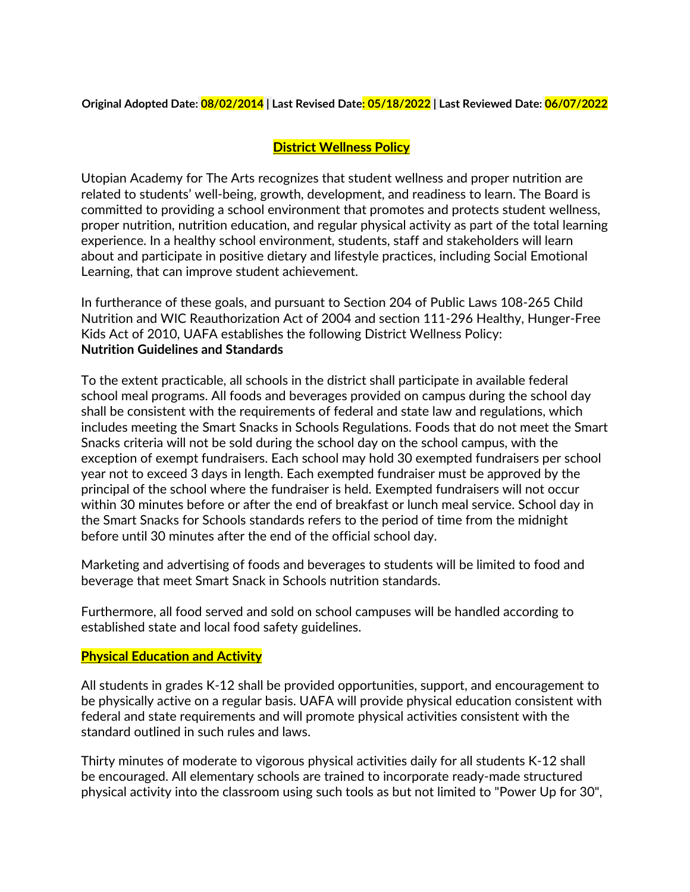**Original Adopted Date: 08/02/2014 | Last Revised Date: 05/18/2022 | Last Reviewed Date: 06/07/2022**

## **District Wellness Policy**

Utopian Academy for The Arts recognizes that student wellness and proper nutrition are related to students' well-being, growth, development, and readiness to learn. The Board is committed to providing a school environment that promotes and protects student wellness, proper nutrition, nutrition education, and regular physical activity as part of the total learning experience. In a healthy school environment, students, staff and stakeholders will learn about and participate in positive dietary and lifestyle practices, including Social Emotional Learning, that can improve student achievement.

In furtherance of these goals, and pursuant to Section 204 of Public Laws 108-265 Child Nutrition and WIC Reauthorization Act of 2004 and section 111-296 Healthy, Hunger-Free Kids Act of 2010, UAFA establishes the following District Wellness Policy: **Nutrition Guidelines and Standards**

To the extent practicable, all schools in the district shall participate in available federal school meal programs. All foods and beverages provided on campus during the school day shall be consistent with the requirements of federal and state law and regulations, which includes meeting the Smart Snacks in Schools Regulations. Foods that do not meet the Smart Snacks criteria will not be sold during the school day on the school campus, with the exception of exempt fundraisers. Each school may hold 30 exempted fundraisers per school year not to exceed 3 days in length. Each exempted fundraiser must be approved by the principal of the school where the fundraiser is held. Exempted fundraisers will not occur within 30 minutes before or after the end of breakfast or lunch meal service. School day in the Smart Snacks for Schools standards refers to the period of time from the midnight before until 30 minutes after the end of the official school day.

Marketing and advertising of foods and beverages to students will be limited to food and beverage that meet Smart Snack in Schools nutrition standards.

Furthermore, all food served and sold on school campuses will be handled according to established state and local food safety guidelines.

## **Physical Education and Activity**

All students in grades K-12 shall be provided opportunities, support, and encouragement to be physically active on a regular basis. UAFA will provide physical education consistent with federal and state requirements and will promote physical activities consistent with the standard outlined in such rules and laws.

Thirty minutes of moderate to vigorous physical activities daily for all students K-12 shall be encouraged. All elementary schools are trained to incorporate ready-made structured physical activity into the classroom using such tools as but not limited to "Power Up for 30",